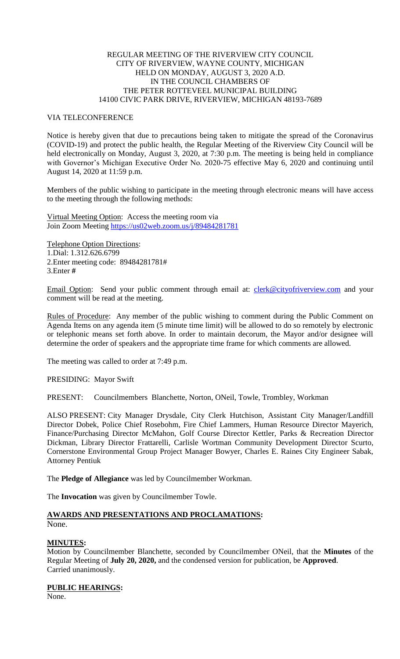### REGULAR MEETING OF THE RIVERVIEW CITY COUNCIL CITY OF RIVERVIEW, WAYNE COUNTY, MICHIGAN HELD ON MONDAY, AUGUST 3, 2020 A.D. IN THE COUNCIL CHAMBERS OF THE PETER ROTTEVEEL MUNICIPAL BUILDING 14100 CIVIC PARK DRIVE, RIVERVIEW, MICHIGAN 48193-7689

### VIA TELECONFERENCE

Notice is hereby given that due to precautions being taken to mitigate the spread of the Coronavirus (COVID-19) and protect the public health, the Regular Meeting of the Riverview City Council will be held electronically on Monday, August 3, 2020, at 7:30 p.m. The meeting is being held in compliance with Governor's Michigan Executive Order No. 2020-75 effective May 6, 2020 and continuing until August 14, 2020 at 11:59 p.m.

Members of the public wishing to participate in the meeting through electronic means will have access to the meeting through the following methods:

Virtual Meeting Option: Access the meeting room via Join Zoom Meeting [https://us02web.zoom.us/j/89484281781](https://www.google.com/url?q=https%3A%2F%2Fus02web.zoom.us%2Fj%2F89484281781&sa=D&ust=1596464379450000&usg=AOvVaw2MlTal8XUFMsWJR6ETM7n1)

Telephone Option Directions: 1.Dial: 1.312.626.6799 2.Enter meeting code: 89484281781# 3.Enter **#**

Email Option: Send your public comment through email at: [clerk@cityofriverview.com](mailto:clerk@cityofriverview.com) and your comment will be read at the meeting.

Rules of Procedure: Any member of the public wishing to comment during the Public Comment on Agenda Items on any agenda item (5 minute time limit) will be allowed to do so remotely by electronic or telephonic means set forth above. In order to maintain decorum, the Mayor and/or designee will determine the order of speakers and the appropriate time frame for which comments are allowed.

The meeting was called to order at 7:49 p.m.

PRESIDING: Mayor Swift

PRESENT: Councilmembers Blanchette, Norton, ONeil, Towle, Trombley, Workman

ALSO PRESENT: City Manager Drysdale, City Clerk Hutchison, Assistant City Manager/Landfill Director Dobek, Police Chief Rosebohm, Fire Chief Lammers, Human Resource Director Mayerich, Finance/Purchasing Director McMahon, Golf Course Director Kettler, Parks & Recreation Director Dickman, Library Director Frattarelli, Carlisle Wortman Community Development Director Scurto, Cornerstone Environmental Group Project Manager Bowyer, Charles E. Raines City Engineer Sabak, Attorney Pentiuk

The **Pledge of Allegiance** was led by Councilmember Workman.

The **Invocation** was given by Councilmember Towle.

# **AWARDS AND PRESENTATIONS AND PROCLAMATIONS:**

None.

### **MINUTES:**

Motion by Councilmember Blanchette, seconded by Councilmember ONeil, that the **Minutes** of the Regular Meeting of **July 20, 2020,** and the condensed version for publication, be **Approved**. Carried unanimously.

## **PUBLIC HEARINGS:**

None.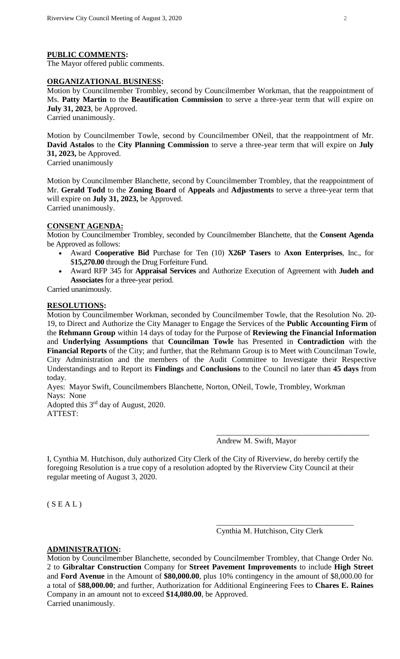#### **PUBLIC COMMENTS:**

The Mayor offered public comments.

### **ORGANIZATIONAL BUSINESS:**

Motion by Councilmember Trombley, second by Councilmember Workman, that the reappointment of Ms. **Patty Martin** to the **Beautification Commission** to serve a three-year term that will expire on **July 31, 2023**, be Approved.

Carried unanimously.

Motion by Councilmember Towle, second by Councilmember ONeil, that the reappointment of Mr. **David Astalos** to the **City Planning Commission** to serve a three-year term that will expire on **July 31, 2023,** be Approved. Carried unanimously

Motion by Councilmember Blanchette, second by Councilmember Trombley, that the reappointment of Mr. **Gerald Todd** to the **Zoning Board** of **Appeals** and **Adjustments** to serve a three-year term that will expire on **July 31, 2023,** be Approved. Carried unanimously.

#### **CONSENT AGENDA:**

Motion by Councilmember Trombley, seconded by Councilmember Blanchette, that the **Consent Agenda**  be Approved as follows:

- Award **Cooperative Bid** Purchase for Ten (10) **X26P Tasers** to **Axon Enterprises**, Inc., for \$**15,270.00** through the Drug Forfeiture Fund.
- Award RFP 345 for **Appraisal Services** and Authorize Execution of Agreement with **Judeh and Associates** for a three-year period.

Carried unanimously.

### **RESOLUTIONS:**

Motion by Councilmember Workman, seconded by Councilmember Towle, that the Resolution No. 20- 19, to Direct and Authorize the City Manager to Engage the Services of the **Public Accounting Firm** of the **Rehmann Group** within 14 days of today for the Purpose of **Reviewing the Financial Information** and **Underlying Assumptions** that **Councilman Towle** has Presented in **Contradiction** with the **Financial Reports** of the City; and further, that the Rehmann Group is to Meet with Councilman Towle, City Administration and the members of the Audit Committee to Investigate their Respective Understandings and to Report its **Findings** and **Conclusions** to the Council no later than **45 days** from today.

Ayes: Mayor Swift, Councilmembers Blanchette, Norton, ONeil, Towle, Trombley, Workman Nays: None

Adopted this 3rd day of August, 2020. ATTEST:

Andrew M. Swift, Mayor

\_\_\_\_\_\_\_\_\_\_\_\_\_\_\_\_\_\_\_\_\_\_\_\_\_\_\_\_\_\_\_\_\_\_\_\_\_\_\_

I, Cynthia M. Hutchison, duly authorized City Clerk of the City of Riverview, do hereby certify the foregoing Resolution is a true copy of a resolution adopted by the Riverview City Council at their regular meeting of August 3, 2020.

 $(S E A L)$ 

Cynthia M. Hutchison, City Clerk

\_\_\_\_\_\_\_\_\_\_\_\_\_\_\_\_\_\_\_\_\_\_\_\_\_\_\_\_\_\_\_\_\_\_\_

#### **ADMINISTRATION:**

Motion by Councilmember Blanchette, seconded by Councilmember Trombley, that Change Order No. 2 to **Gibraltar Construction** Company for **Street Pavement Improvements** to include **High Street** and **Ford Avenue** in the Amount of **\$80,000.00**, plus 10% contingency in the amount of \$8,000.00 for a total of \$**88,000.00**; and further, Authorization for Additional Engineering Fees to **Chares E. Raines** Company in an amount not to exceed **\$14,080.00**, be Approved. Carried unanimously.